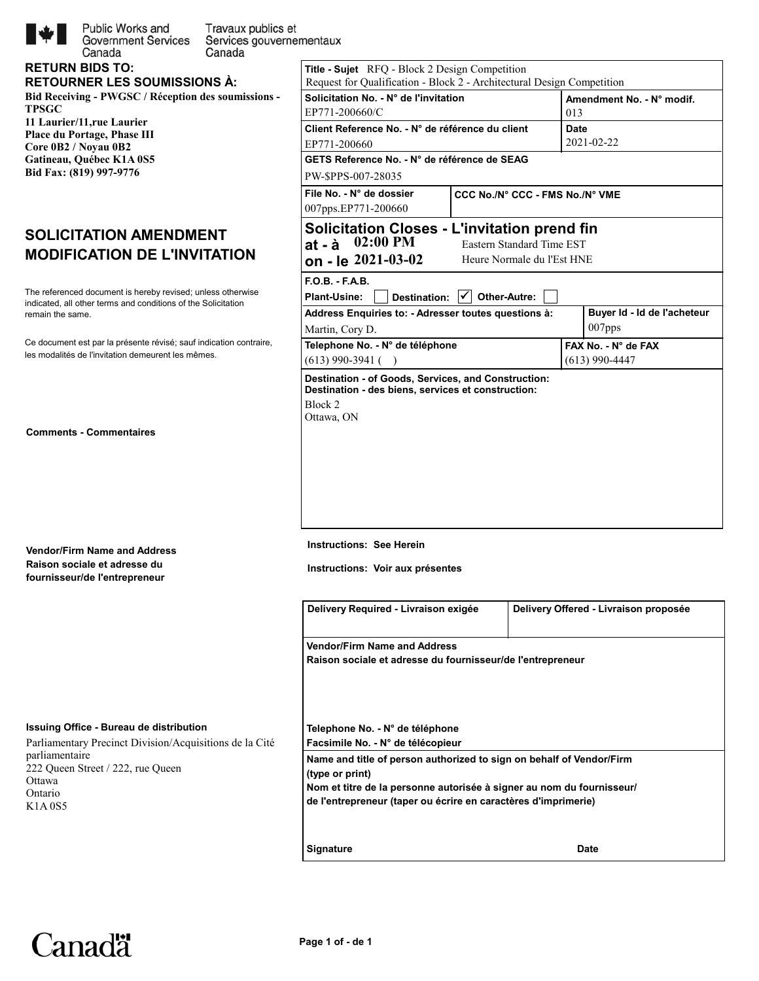

Public Works and Travaux publics et **Government Services** Services gouvernementaux Canada

| <b>RETURN BIDS TO:</b>              |
|-------------------------------------|
| <b>RETOURNER LES SOUMISSIONS À:</b> |

Canada

**Bid Receiving - PWGSC / Réception des soumissions - TPSGC 11 Laurier/11,rue Laurier Place du Portage, Phase III Core 0B2 / Noyau 0B2 Gatineau, Québec K1A 0S5 Bid Fax: (819) 997-9776**

# **SOLICITATION AMENDMENT MODIFICATION DE L'INVITATION**

remain the same. The referenced document is hereby revised; unless otherwise indicated, all other terms and conditions of the Solicitation

les modalités de l'invitation demeurent les mêmes. Ce document est par la présente révisé; sauf indication contraire,

**Comments - Commentaires**

**Vendor/Firm Name and Address Raison sociale et adresse du fournisseur/de l'entrepreneur**

| Solicitation No. - N° de l'invitation                                                                     |                                 | Amendment No. - N° modif. |                             |  |
|-----------------------------------------------------------------------------------------------------------|---------------------------------|---------------------------|-----------------------------|--|
| EP771-200660/C                                                                                            |                                 | 013                       |                             |  |
| Client Reference No. - N° de référence du client                                                          |                                 | <b>Date</b>               |                             |  |
| EP771-200660                                                                                              |                                 | 2021-02-22                |                             |  |
| GETS Reference No. - N° de référence de SEAG                                                              |                                 |                           |                             |  |
| PW-\$PPS-007-28035                                                                                        |                                 |                           |                             |  |
| File No. - N° de dossier                                                                                  | CCC No./N° CCC - FMS No./N° VME |                           |                             |  |
| 007pps.EP771-200660                                                                                       |                                 |                           |                             |  |
| Solicitation Closes - L'invitation prend fin                                                              |                                 |                           |                             |  |
| $02:00$ PM<br>at - à                                                                                      | Eastern Standard Time EST       |                           |                             |  |
| on - le 2021-03-02                                                                                        | Heure Normale du l'Est HNE      |                           |                             |  |
| $F.O.B. - F.A.B.$                                                                                         |                                 |                           |                             |  |
| Plant-Usine:<br>Destination: $\forall$                                                                    | Other-Autre:                    |                           |                             |  |
| Address Enquiries to: - Adresser toutes questions à:                                                      |                                 |                           | Buyer Id - Id de l'acheteur |  |
| Martin, Cory D.                                                                                           |                                 |                           | $007$ pps                   |  |
| Telephone No. - N° de téléphone                                                                           |                                 |                           | FAX No. - N° de FAX         |  |
| $(613)$ 990-3941 (                                                                                        |                                 | $(613)$ 990-4447          |                             |  |
| Destination - of Goods, Services, and Construction:<br>Destination - des biens, services et construction: |                                 |                           |                             |  |
|                                                                                                           |                                 |                           |                             |  |
| Block <sub>2</sub>                                                                                        |                                 |                           |                             |  |
| Ottawa, ON                                                                                                |                                 |                           |                             |  |
|                                                                                                           |                                 |                           |                             |  |
|                                                                                                           |                                 |                           |                             |  |
|                                                                                                           |                                 |                           |                             |  |
|                                                                                                           |                                 |                           |                             |  |
|                                                                                                           |                                 |                           |                             |  |
|                                                                                                           |                                 |                           |                             |  |

**Instructions: See Herein**

**Instructions: Voir aux présentes**

**Title - Sujet** RFQ - Block 2 Design Competition

Request for Qualification - Block 2 - Architectural Design Competition

|                                                                                                                                                                                                                                | Delivery Required - Livraison exigée                                                                                                                                                                                                                                                                       | Delivery Offered - Livraison proposée |  |
|--------------------------------------------------------------------------------------------------------------------------------------------------------------------------------------------------------------------------------|------------------------------------------------------------------------------------------------------------------------------------------------------------------------------------------------------------------------------------------------------------------------------------------------------------|---------------------------------------|--|
|                                                                                                                                                                                                                                | <b>Vendor/Firm Name and Address</b><br>Raison sociale et adresse du fournisseur/de l'entrepreneur                                                                                                                                                                                                          |                                       |  |
| Issuing Office - Bureau de distribution<br>Parliamentary Precinct Division/Acquisitions de la Cité<br>parliamentaire<br>222 Queen Street / 222, rue Queen<br>Ottawa<br>Ontario<br>K <sub>1</sub> A <sub>0</sub> S <sub>5</sub> | Telephone No. - N° de téléphone<br>Facsimile No. - N° de télécopieur<br>Name and title of person authorized to sign on behalf of Vendor/Firm<br>(type or print)<br>Nom et titre de la personne autorisée à signer au nom du fournisseur/<br>de l'entrepreneur (taper ou écrire en caractères d'imprimerie) |                                       |  |
|                                                                                                                                                                                                                                | <b>Signature</b>                                                                                                                                                                                                                                                                                           | <b>Date</b>                           |  |

Canadä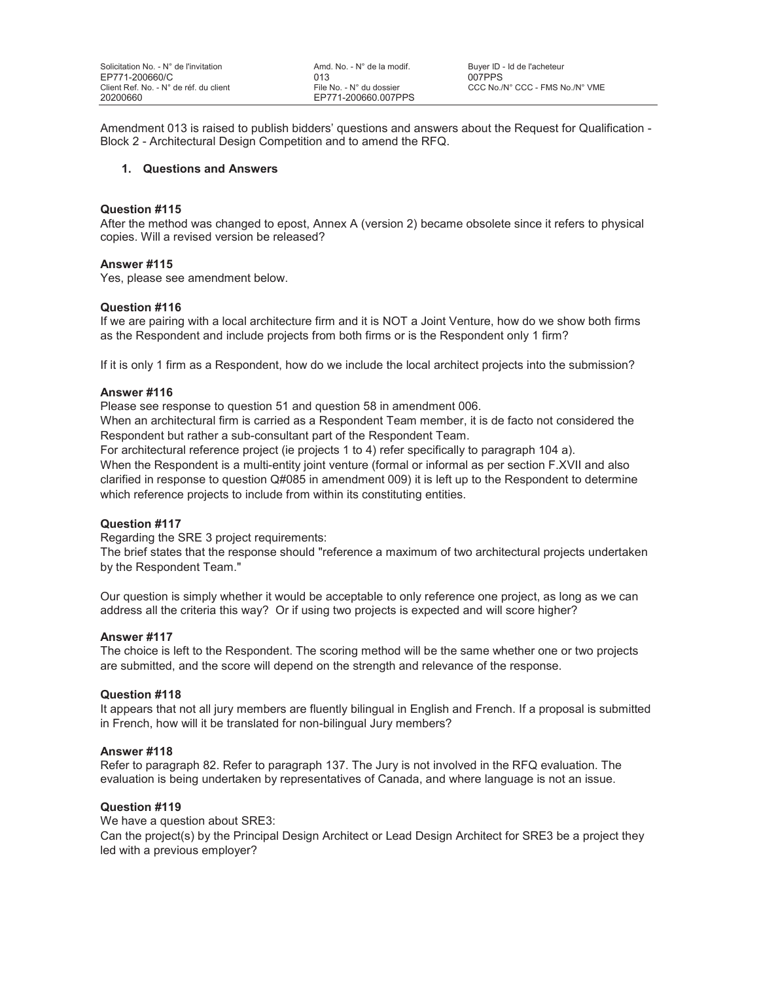Amendment 013 is raised to publish bidders' questions and answers about the Request for Qualification - Block 2 - Architectural Design Competition and to amend the RFQ.

#### **1. Questions and Answers**

#### **Question #115**

After the method was changed to epost, Annex A (version 2) became obsolete since it refers to physical copies. Will a revised version be released?

# **Answer #115**

Yes, please see amendment below.

# **Question #116**

If we are pairing with a local architecture firm and it is NOT a Joint Venture, how do we show both firms as the Respondent and include projects from both firms or is the Respondent only 1 firm?

If it is only 1 firm as a Respondent, how do we include the local architect projects into the submission?

# **Answer #116**

Please see response to question 51 and question 58 in amendment 006.

When an architectural firm is carried as a Respondent Team member, it is de facto not considered the Respondent but rather a sub-consultant part of the Respondent Team.

For architectural reference project (ie projects 1 to 4) refer specifically to paragraph 104 a).

When the Respondent is a multi-entity joint venture (formal or informal as per section F.XVII and also clarified in response to question Q#085 in amendment 009) it is left up to the Respondent to determine which reference projects to include from within its constituting entities.

# **Question #117**

Regarding the SRE 3 project requirements:

The brief states that the response should "reference a maximum of two architectural projects undertaken by the Respondent Team."

Our question is simply whether it would be acceptable to only reference one project, as long as we can address all the criteria this way? Or if using two projects is expected and will score higher?

#### **Answer #117**

The choice is left to the Respondent. The scoring method will be the same whether one or two projects are submitted, and the score will depend on the strength and relevance of the response.

#### **Question #118**

It appears that not all jury members are fluently bilingual in English and French. If a proposal is submitted in French, how will it be translated for non-bilingual Jury members?

#### **Answer #118**

Refer to paragraph 82. Refer to paragraph 137. The Jury is not involved in the RFQ evaluation. The evaluation is being undertaken by representatives of Canada, and where language is not an issue.

#### **Question #119**

We have a question about SRE3:

Can the project(s) by the Principal Design Architect or Lead Design Architect for SRE3 be a project they led with a previous employer?